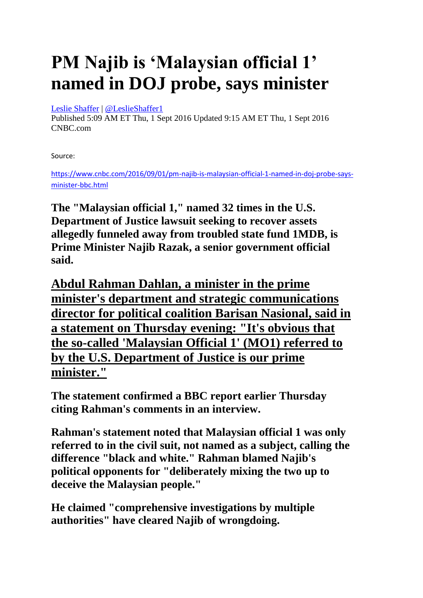## **PM Najib is 'Malaysian official 1' named in DOJ probe, says minister**

## [Leslie Shaffer](https://www.cnbc.com/leslie-shaffer/) | [@LeslieShaffer1](https://twitter.com/LeslieShaffer1)

Published 5:09 AM ET Thu, 1 Sept 2016 Updated 9:15 AM ET Thu, 1 Sept 2016 CNBC.com

Source:

[https://www.cnbc.com/2016/09/01/pm-najib-is-malaysian-official-1-named-in-doj-probe-says](https://www.cnbc.com/2016/09/01/pm-najib-is-malaysian-official-1-named-in-doj-probe-says-minister-bbc.html)[minister-bbc.html](https://www.cnbc.com/2016/09/01/pm-najib-is-malaysian-official-1-named-in-doj-probe-says-minister-bbc.html)

**The "Malaysian official 1," named 32 times in the U.S. Department of Justice lawsuit seeking to recover assets allegedly funneled away from troubled state fund 1MDB, is Prime Minister Najib Razak, a senior government official said.** 

**Abdul Rahman Dahlan, a minister in the prime minister's department and strategic communications director for political coalition Barisan Nasional, said in a statement on Thursday evening: "It's obvious that the so-called 'Malaysian Official 1' (MO1) referred to by the U.S. Department of Justice is our prime minister."**

**The statement confirmed a BBC report earlier Thursday citing Rahman's comments in an interview.** 

**Rahman's statement noted that Malaysian official 1 was only referred to in the civil suit, not named as a subject, calling the difference "black and white." Rahman blamed Najib's political opponents for "deliberately mixing the two up to deceive the Malaysian people."**

**He claimed "comprehensive investigations by multiple authorities" have cleared Najib of wrongdoing.**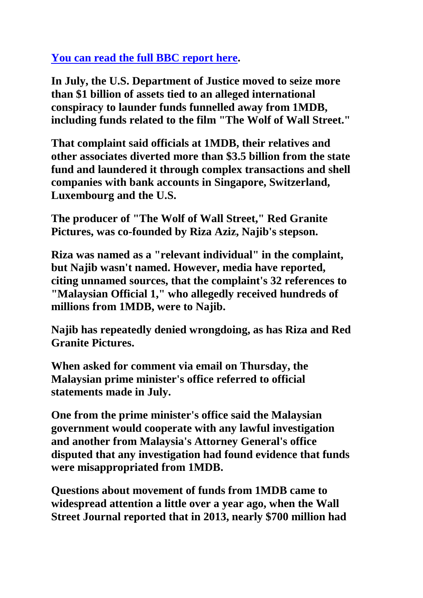## **[You can read the full BBC report here.](http://www.bbc.com/news/business-37234717)**

**In July, the U.S. Department of Justice moved to seize more than \$1 billion of assets tied to an alleged international conspiracy to launder funds funnelled away from 1MDB, including funds related to the film "The Wolf of Wall Street."** 

**That complaint said officials at 1MDB, their relatives and other associates diverted more than \$3.5 billion from the state fund and laundered it through complex transactions and shell companies with bank accounts in Singapore, Switzerland, Luxembourg and the U.S.** 

**The producer of "The Wolf of Wall Street," Red Granite Pictures, was co-founded by Riza Aziz, Najib's stepson.** 

**Riza was named as a "relevant individual" in the complaint, but Najib wasn't named. However, media have reported, citing unnamed sources, that the complaint's 32 references to "Malaysian Official 1," who allegedly received hundreds of millions from 1MDB, were to Najib.** 

**Najib has repeatedly denied wrongdoing, as has Riza and Red Granite Pictures.** 

**When asked for comment via email on Thursday, the Malaysian prime minister's office referred to official statements made in July.** 

**One from the prime minister's office said the Malaysian government would cooperate with any lawful investigation and another from Malaysia's Attorney General's office disputed that any investigation had found evidence that funds were misappropriated from 1MDB.** 

**Questions about movement of funds from 1MDB came to widespread attention a little over a year ago, when the Wall Street Journal reported that in 2013, nearly \$700 million had**